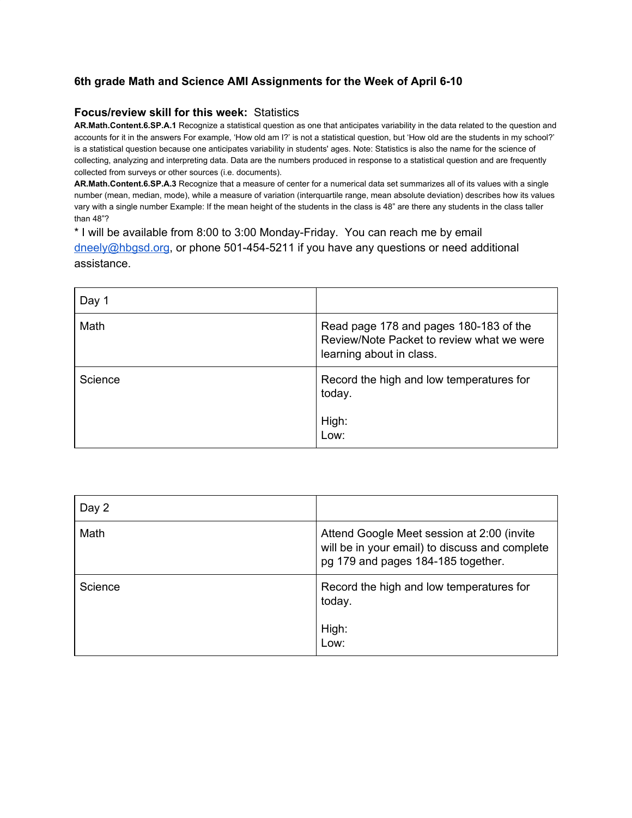## **6th grade Math and Science AMI Assignments for the Week of April 6-10**

## **Focus/review skill for this week:** Statistics

**AR.Math.Content.6.SP.A.1** Recognize a statistical question as one that anticipates variability in the data related to the question and accounts for it in the answers For example, 'How old am I?' is not a statistical question, but 'How old are the students in my school?' is a statistical question because one anticipates variability in students' ages. Note: Statistics is also the name for the science of collecting, analyzing and interpreting data. Data are the numbers produced in response to a statistical question and are frequently collected from surveys or other sources (i.e. documents).

**AR.Math.Content.6.SP.A.3** Recognize that a measure of center for a numerical data set summarizes all of its values with a single number (mean, median, mode), while a measure of variation (interquartile range, mean absolute deviation) describes how its values vary with a single number Example: If the mean height of the students in the class is 48" are there any students in the class taller than 48"?

\* I will be available from 8:00 to 3:00 Monday-Friday. You can reach me by email [dneely@hbgsd.org](mailto:dneely@hbgsd.org), or phone 501-454-5211 if you have any questions or need additional assistance.

| Day 1   |                                                                                                                 |
|---------|-----------------------------------------------------------------------------------------------------------------|
| Math    | Read page 178 and pages 180-183 of the<br>Review/Note Packet to review what we were<br>learning about in class. |
| Science | Record the high and low temperatures for<br>today.<br>High:<br>Low:                                             |

| Day 2   |                                                                                                                                    |
|---------|------------------------------------------------------------------------------------------------------------------------------------|
| Math    | Attend Google Meet session at 2:00 (invite<br>will be in your email) to discuss and complete<br>pg 179 and pages 184-185 together. |
| Science | Record the high and low temperatures for<br>today.<br>High:<br>Low:                                                                |